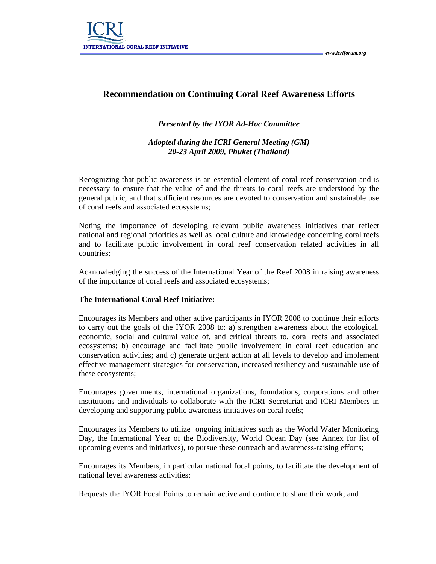

## **Recommendation on Continuing Coral Reef Awareness Efforts**

## *Presented by the IYOR Ad-Hoc Committee*

*Adopted during the ICRI General Meeting (GM) 20-23 April 2009, Phuket (Thailand)* 

Recognizing that public awareness is an essential element of coral reef conservation and is necessary to ensure that the value of and the threats to coral reefs are understood by the general public, and that sufficient resources are devoted to conservation and sustainable use of coral reefs and associated ecosystems;

Noting the importance of developing relevant public awareness initiatives that reflect national and regional priorities as well as local culture and knowledge concerning coral reefs and to facilitate public involvement in coral reef conservation related activities in all countries;

Acknowledging the success of the International Year of the Reef 2008 in raising awareness of the importance of coral reefs and associated ecosystems;

## **The International Coral Reef Initiative:**

Encourages its Members and other active participants in IYOR 2008 to continue their efforts to carry out the goals of the IYOR 2008 to: a) strengthen awareness about the ecological, economic, social and cultural value of, and critical threats to, coral reefs and associated ecosystems; b) encourage and facilitate public involvement in coral reef education and conservation activities; and c) generate urgent action at all levels to develop and implement effective management strategies for conservation, increased resiliency and sustainable use of these ecosystems;

Encourages governments, international organizations, foundations, corporations and other institutions and individuals to collaborate with the ICRI Secretariat and ICRI Members in developing and supporting public awareness initiatives on coral reefs;

Encourages its Members to utilize ongoing initiatives such as the World Water Monitoring Day, the International Year of the Biodiversity, World Ocean Day (see Annex for list of upcoming events and initiatives), to pursue these outreach and awareness-raising efforts;

Encourages its Members, in particular national focal points, to facilitate the development of national level awareness activities;

Requests the IYOR Focal Points to remain active and continue to share their work; and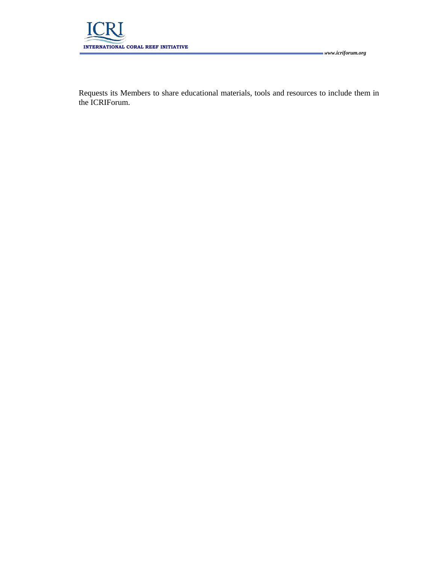

Requests its Members to share educational materials, tools and resources to include them in the ICRIForum.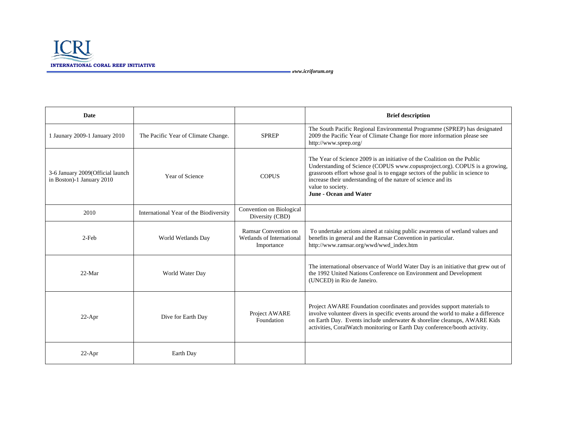

*www.icriforum.org*

| Date                                                          |                                        |                                                                 | <b>Brief description</b>                                                                                                                                                                                                                                                                                                                                       |
|---------------------------------------------------------------|----------------------------------------|-----------------------------------------------------------------|----------------------------------------------------------------------------------------------------------------------------------------------------------------------------------------------------------------------------------------------------------------------------------------------------------------------------------------------------------------|
| 1 Jaunary 2009-1 January 2010                                 | The Pacific Year of Climate Change.    | <b>SPREP</b>                                                    | The South Pacific Regional Environmental Programme (SPREP) has designated<br>2009 the Pacific Year of Climate Change fior more information please see<br>http://www.sprep.org/                                                                                                                                                                                 |
| 3-6 January 2009(Official launch<br>in Boston)-1 January 2010 | Year of Science                        | <b>COPUS</b>                                                    | The Year of Science 2009 is an initiative of the Coalition on the Public<br>Understanding of Science (COPUS www.copusproject.org). COPUS is a growing,<br>grassroots effort whose goal is to engage sectors of the public in science to<br>increase their understanding of the nature of science and its<br>value to society.<br><b>June - Ocean and Water</b> |
| 2010                                                          | International Year of the Biodiversity | Convention on Biological<br>Diversity (CBD)                     |                                                                                                                                                                                                                                                                                                                                                                |
| 2-Feb                                                         | World Wetlands Day                     | Ramsar Convention on<br>Wetlands of International<br>Importance | To undertake actions aimed at raising public awareness of wetland values and<br>benefits in general and the Ramsar Convention in particular.<br>http://www.ramsar.org/wwd/wwd_index.htm                                                                                                                                                                        |
| $22-Mar$                                                      | World Water Day                        |                                                                 | The international observance of World Water Day is an initiative that grew out of<br>the 1992 United Nations Conference on Environment and Development<br>(UNCED) in Rio de Janeiro.                                                                                                                                                                           |
| $22-Apr$                                                      | Dive for Earth Day                     | Project AWARE<br>Foundation                                     | Project AWARE Foundation coordinates and provides support materials to<br>involve volunteer divers in specific events around the world to make a difference<br>on Earth Day. Events include underwater & shoreline cleanups, AWARE Kids<br>activities, CoralWatch monitoring or Earth Day conference/booth activity.                                           |
| $22-Apr$                                                      | Earth Day                              |                                                                 |                                                                                                                                                                                                                                                                                                                                                                |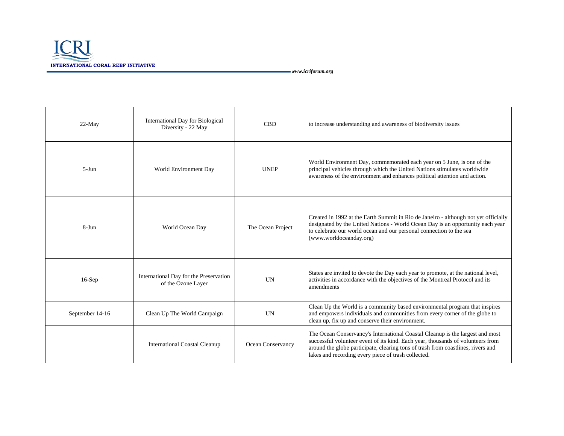

*www.icriforum.org*

| 22-May          | International Day for Biological<br>Diversity - 22 May       | <b>CBD</b>        | to increase understanding and awareness of biodiversity issues                                                                                                                                                                                                                                              |
|-----------------|--------------------------------------------------------------|-------------------|-------------------------------------------------------------------------------------------------------------------------------------------------------------------------------------------------------------------------------------------------------------------------------------------------------------|
| $5-Jun$         | World Environment Day                                        | <b>UNEP</b>       | World Environment Day, commemorated each year on 5 June, is one of the<br>principal vehicles through which the United Nations stimulates worldwide<br>awareness of the environment and enhances political attention and action.                                                                             |
| $8-Jun$         | World Ocean Day                                              | The Ocean Project | Created in 1992 at the Earth Summit in Rio de Janeiro - although not yet officially<br>designated by the United Nations - World Ocean Day is an opportunity each year<br>to celebrate our world ocean and our personal connection to the sea<br>(www.worldoceanday.org)                                     |
| $16-Sep$        | International Day for the Preservation<br>of the Ozone Layer | <b>UN</b>         | States are invited to devote the Day each year to promote, at the national level,<br>activities in accordance with the objectives of the Montreal Protocol and its<br>amendments                                                                                                                            |
| September 14-16 | Clean Up The World Campaign                                  | <b>UN</b>         | Clean Up the World is a community based environmental program that inspires<br>and empowers individuals and communities from every corner of the globe to<br>clean up, fix up and conserve their environment.                                                                                               |
|                 | <b>International Coastal Cleanup</b>                         | Ocean Conservancy | The Ocean Conservancy's International Coastal Cleanup is the largest and most<br>successful volunteer event of its kind. Each year, thousands of volunteers from<br>around the globe participate, clearing tons of trash from coastlines, rivers and<br>lakes and recording every piece of trash collected. |